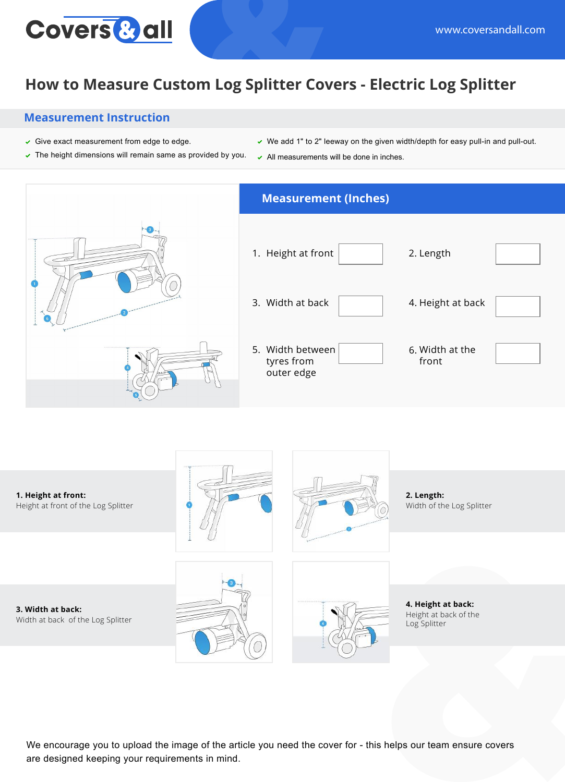

## **How to Measure Custom Log Splitter Covers - Electric Log Splitter**

## **Measurement Instruction**

- $\checkmark$  Give exact measurement from edge to edge.
- $\triangledown$  The height dimensions will remain same as provided by you.
- $\vee$  We add 1" to 2" leeway on the given width/depth for easy pull-in and pull-out.
- $\backsim$  All measurements will be done in inches.





We encourage you to upload the image of the article you need the cover for - this helps our team ensure covers are designed keeping your requirements in mind.